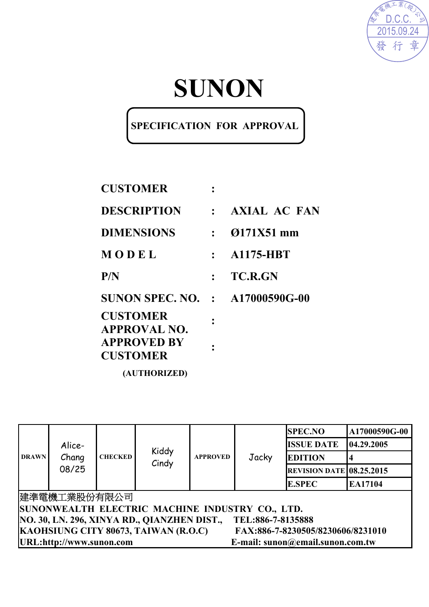

# **SUNON**

### **SPECIFICATION FOR APPROVAL**

| <b>CUSTOMER</b>                        |              |                     |
|----------------------------------------|--------------|---------------------|
| <b>DESCRIPTION</b>                     | $\mathbf{L}$ | <b>AXIAL AC FAN</b> |
| <b>DIMENSIONS</b>                      | $\cdot$ .    | 0171X51 mm          |
| MODEL                                  | $\mathbf{r}$ | <b>A1175-HBT</b>    |
| P/N                                    |              | <b>TC.R.GN</b>      |
| <b>SUNON SPEC. NO. : A17000590G-00</b> |              |                     |
| <b>CUSTOMER</b><br><b>APPROVAL NO.</b> |              |                     |
| <b>APPROVED BY</b><br><b>CUSTOMER</b>  |              |                     |
| (AUTHORIZED)                           |              |                     |

|                                                                           |                          | <b>SPEC.NO</b>                                               |                | A17000590G-00   |       |                                 |            |  |  |  |
|---------------------------------------------------------------------------|--------------------------|--------------------------------------------------------------|----------------|-----------------|-------|---------------------------------|------------|--|--|--|
|                                                                           | Alice-<br>Chang<br>08/25 |                                                              |                |                 | Jacky | <b>ISSUE DATE</b>               | 04.29.2005 |  |  |  |
| <b>DRAWN</b>                                                              |                          | <b>CHECKED</b>                                               | Kiddy<br>Cindy | <b>APPROVED</b> |       | <b>EDITION</b>                  |            |  |  |  |
|                                                                           |                          |                                                              |                |                 |       | <b>REVISION DATE 08.25.2015</b> |            |  |  |  |
|                                                                           |                          |                                                              |                |                 |       | <b>E.SPEC</b>                   | EA17104    |  |  |  |
| 建準電機工業股份有限公司                                                              |                          |                                                              |                |                 |       |                                 |            |  |  |  |
| SUNONWEALTH ELECTRIC MACHINE INDUSTRY CO., LTD.                           |                          |                                                              |                |                 |       |                                 |            |  |  |  |
| NO. 30, LN. 296, XINYA RD., QIANZHEN DIST.,<br>TEL:886-7-8135888          |                          |                                                              |                |                 |       |                                 |            |  |  |  |
| KAOHSIUNG CITY 80673, TAIWAN (R.O.C)<br>FAX:886-7-8230505/8230606/8231010 |                          |                                                              |                |                 |       |                                 |            |  |  |  |
|                                                                           |                          | URL:http://www.sunon.com<br>E-mail: sunon@email.sunon.com.tw |                |                 |       |                                 |            |  |  |  |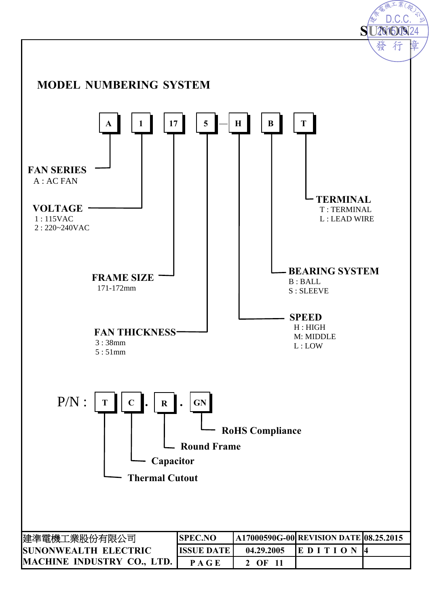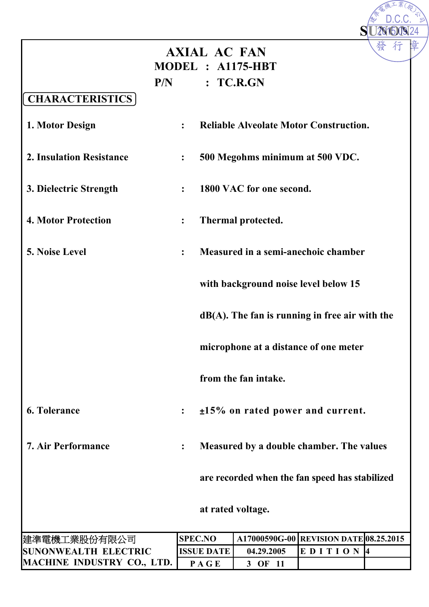|                                 |     | <b>AXIAL AC FAN</b><br>MODEL : A1175-HBT |                                                   |                                        | 發 |
|---------------------------------|-----|------------------------------------------|---------------------------------------------------|----------------------------------------|---|
|                                 | P/N |                                          | TC.R.GN                                           |                                        |   |
| <b>CHARACTERISTICS</b>          |     |                                          |                                                   |                                        |   |
| 1. Motor Design                 |     | $\ddot{\cdot}$                           | <b>Reliable Alveolate Motor Construction.</b>     |                                        |   |
| <b>2. Insulation Resistance</b> |     | $\overset{\bullet}{\bullet}$             | 500 Megohms minimum at 500 VDC.                   |                                        |   |
| 3. Dielectric Strength          |     | $\ddot{\cdot}$                           | 1800 VAC for one second.                          |                                        |   |
| <b>4. Motor Protection</b>      |     | :                                        | Thermal protected.                                |                                        |   |
| <b>5. Noise Level</b>           |     | :                                        | Measured in a semi-anechoic chamber               |                                        |   |
|                                 |     |                                          | with background noise level below 15              |                                        |   |
|                                 |     |                                          | $dB(A)$ . The fan is running in free air with the |                                        |   |
|                                 |     |                                          | microphone at a distance of one meter             |                                        |   |
|                                 |     |                                          | from the fan intake.                              |                                        |   |
| 6. Tolerance                    |     | $\ddot{\cdot}$                           | $\pm$ 15% on rated power and current.             |                                        |   |
| <b>7. Air Performance</b>       |     | :                                        | Measured by a double chamber. The values          |                                        |   |
|                                 |     |                                          | are recorded when the fan speed has stabilized    |                                        |   |
|                                 |     |                                          | at rated voltage.                                 |                                        |   |
| 建準電機工業股份有限公司                    |     | <b>SPEC.NO</b>                           |                                                   | A17000590G-00 REVISION DATE 08.25.2015 |   |
| <b>SUNONWEALTH ELECTRIC</b>     |     | <b>ISSUE DATE</b>                        | 04.29.2005                                        | EDITION <sup>4</sup>                   |   |
| MACHINE INDUSTRY CO., LTD.      |     | PAGE                                     | 3 OF 11                                           |                                        |   |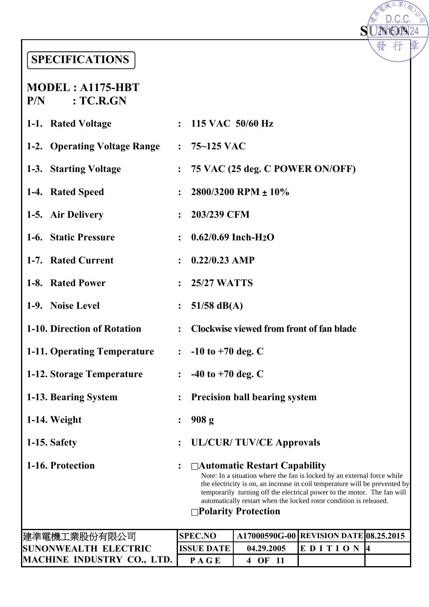## **SPECIFICATIONS**

#### **MODEL : A1175-HBT P/N : TC.R.GN**

| : $75-125$ VAC<br>1-2. Operating Voltage Range<br>75 VAC (25 deg. C POWER ON/OFF)<br>1-3. Starting Voltage<br>$\ddot{\cdot}$<br>2800/3200 RPM $\pm 10\%$<br>1-4. Rated Speed<br>$\ddot{\cdot}$<br>203/239 CFM<br>1-5. Air Delivery<br>$\ddot{\cdot}$<br>1-6. Static Pressure<br>$0.62/0.69$ Inch-H <sub>2</sub> O<br>$\ddot{\cdot}$<br>$0.22/0.23$ AMP<br>1-7. Rated Current<br>$\ddot{\cdot}$<br>1-8. Rated Power<br>$: 25/27$ WATTS<br>1-9. Noise Level<br>51/58 $dB(A)$<br>$\ddot{\cdot}$ |                                                                                                                                                                                                                                                                                                         |  |  |  |  |
|----------------------------------------------------------------------------------------------------------------------------------------------------------------------------------------------------------------------------------------------------------------------------------------------------------------------------------------------------------------------------------------------------------------------------------------------------------------------------------------------|---------------------------------------------------------------------------------------------------------------------------------------------------------------------------------------------------------------------------------------------------------------------------------------------------------|--|--|--|--|
|                                                                                                                                                                                                                                                                                                                                                                                                                                                                                              |                                                                                                                                                                                                                                                                                                         |  |  |  |  |
|                                                                                                                                                                                                                                                                                                                                                                                                                                                                                              |                                                                                                                                                                                                                                                                                                         |  |  |  |  |
|                                                                                                                                                                                                                                                                                                                                                                                                                                                                                              |                                                                                                                                                                                                                                                                                                         |  |  |  |  |
|                                                                                                                                                                                                                                                                                                                                                                                                                                                                                              |                                                                                                                                                                                                                                                                                                         |  |  |  |  |
|                                                                                                                                                                                                                                                                                                                                                                                                                                                                                              |                                                                                                                                                                                                                                                                                                         |  |  |  |  |
|                                                                                                                                                                                                                                                                                                                                                                                                                                                                                              |                                                                                                                                                                                                                                                                                                         |  |  |  |  |
|                                                                                                                                                                                                                                                                                                                                                                                                                                                                                              |                                                                                                                                                                                                                                                                                                         |  |  |  |  |
|                                                                                                                                                                                                                                                                                                                                                                                                                                                                                              |                                                                                                                                                                                                                                                                                                         |  |  |  |  |
| 1-10. Direction of Rotation<br><b>Clockwise viewed from front of fan blade</b><br>$\ddot{\cdot}$                                                                                                                                                                                                                                                                                                                                                                                             |                                                                                                                                                                                                                                                                                                         |  |  |  |  |
| $\therefore$ -10 to +70 deg. C<br><b>1-11. Operating Temperature</b>                                                                                                                                                                                                                                                                                                                                                                                                                         |                                                                                                                                                                                                                                                                                                         |  |  |  |  |
| 1-12. Storage Temperature<br>$-40$ to $+70$ deg. C<br>$\ddot{\cdot}$                                                                                                                                                                                                                                                                                                                                                                                                                         |                                                                                                                                                                                                                                                                                                         |  |  |  |  |
| <b>Precision ball bearing system</b><br>1-13. Bearing System                                                                                                                                                                                                                                                                                                                                                                                                                                 |                                                                                                                                                                                                                                                                                                         |  |  |  |  |
| 908 <sub>g</sub><br>1-14. Weight                                                                                                                                                                                                                                                                                                                                                                                                                                                             |                                                                                                                                                                                                                                                                                                         |  |  |  |  |
| 1-15. Safety<br><b>UL/CUR/TUV/CE Approvals</b>                                                                                                                                                                                                                                                                                                                                                                                                                                               |                                                                                                                                                                                                                                                                                                         |  |  |  |  |
| 1-16. Protection<br>$\Box$ Automatic Restart Capability<br>□Polarity Protection                                                                                                                                                                                                                                                                                                                                                                                                              | Note: In a situation where the fan is locked by an external force while<br>the electricity is on, an increase in coil temperature will be prevented by<br>temporarily turning off the electrical power to the motor. The fan will<br>automatically restart when the locked rotor condition is released. |  |  |  |  |
| <b>SPEC.NO</b><br>A17000590G-00 REVISION DATE 08.25.2015<br>建準電機工業股份有限公司<br>0.4.20.2005                                                                                                                                                                                                                                                                                                                                                                                                      |                                                                                                                                                                                                                                                                                                         |  |  |  |  |

**SU2NO2N**<br>◆ 發行

**SU20160924** 

D.C.C.

 $\overline{\mathcal{K}}$ 

 $\sum_{i=1}^n \sum_{j=1}^n \sum_{j=1}^n \sum_{j=1}^n \sum_{j=1}^n \sum_{j=1}^n \sum_{j=1}^n \sum_{j=1}^n \sum_{j=1}^n \sum_{j=1}^n \sum_{j=1}^n \sum_{j=1}^n \sum_{j=1}^n \sum_{j=1}^n \sum_{j=1}^n \sum_{j=1}^n \sum_{j=1}^n \sum_{j=1}^n \sum_{j=1}^n \sum_{j=1}^n \sum_{j=1}^n \sum_{j=1}^n \sum_{j=1}^n \sum_{j=1}^n \sum_{j$ 

章

| 建準電機工業股份有限公司                      | ISPEC.NO    |                    | A17000590G-00 REVISION DATE 08.25.2015 |  |
|-----------------------------------|-------------|--------------------|----------------------------------------|--|
| <b>SUNONWEALTH ELECTRIC</b>       | IISSUE DATE | 04.29.2005         | <b>IE DITION</b>                       |  |
| <b>MACHINE INDUSTRY CO., LTD.</b> | PAGE        | $_{\rm \bullet k}$ |                                        |  |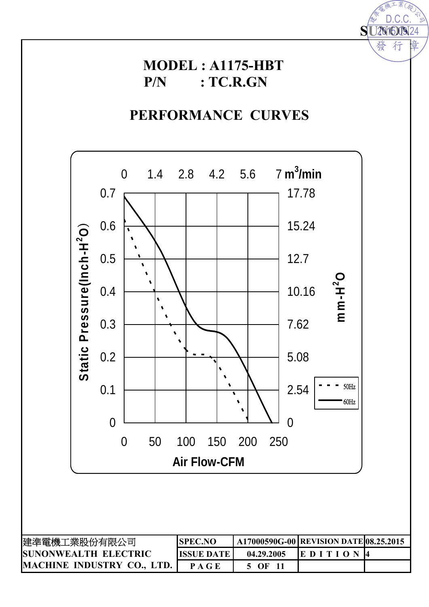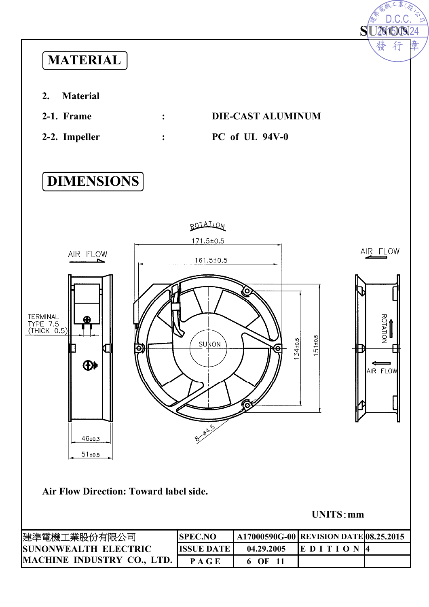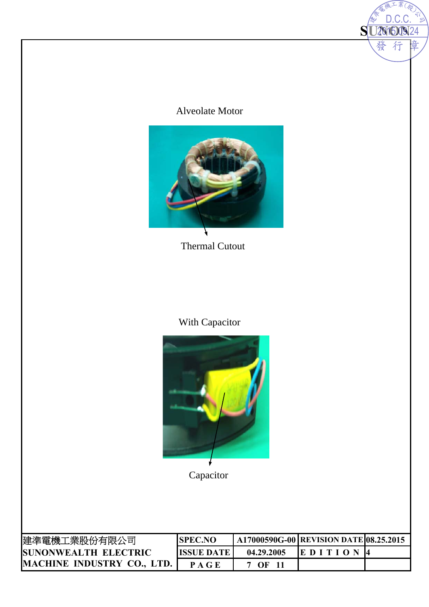#### Alveolate Motor

**SU201600924** 

發

 $\Box$ 

201509.24

行



Thermal Cutout

### With Capacitor



Capacitor

| 建準電機工業股份有限公司                 | <b>ISPEC.NO</b>   |            | A17000590G-00   REVISION DATE 08.25.2015 |  |
|------------------------------|-------------------|------------|------------------------------------------|--|
| <b>ISUNONWEALTH ELECTRIC</b> | <b>ISSUE DATE</b> | 04.29.2005 | <b>IEDITION</b>                          |  |
| MACHINE INDUSTRY CO., LTD.   | PAGE              | OF         |                                          |  |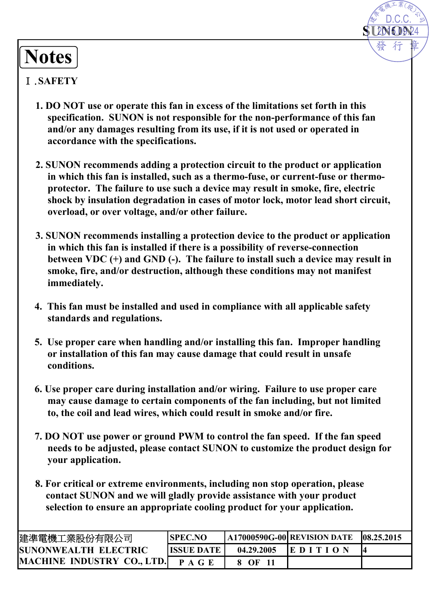# **SUNON** 2015.09.24 D.C.C.

# **Notes**

#### Ⅰ.**SAFETY**

- **1. DO NOT use or operate this fan in excess of the limitations set forth in this specification. SUNON is not responsible for the non-performance of this fan and/or any damages resulting from its use, if it is not used or operated in accordance with the specifications.**
- **2. SUNON recommends adding a protection circuit to the product or application in which this fan is installed, such as a thermo-fuse, or current-fuse or thermoprotector. The failure to use such a device may result in smoke, fire, electric shock by insulation degradation in cases of motor lock, motor lead short circuit, overload, or over voltage, and/or other failure.**
- **3. SUNON recommends installing a protection device to the product or application in which this fan is installed if there is a possibility of reverse-connection between VDC (+) and GND (-). The failure to install such a device may result in smoke, fire, and/or destruction, although these conditions may not manifest immediately.**
- **4. This fan must be installed and used in compliance with all applicable safety standards and regulations.**
- **5. Use proper care when handling and/or installing this fan. Improper handling or installation of this fan may cause damage that could result in unsafe conditions.**
- **6. Use proper care during installation and/or wiring. Failure to use proper care may cause damage to certain components of the fan including, but not limited to, the coil and lead wires, which could result in smoke and/or fire.**
- **7. DO NOT use power or ground PWM to control the fan speed. If the fan speed needs to be adjusted, please contact SUNON to customize the product design for your application.**
- **8. For critical or extreme environments, including non stop operation, please contact SUNON and we will gladly provide assistance with your product selection to ensure an appropriate cooling product for your application.**

| 建準電機工業股份有限公司                 | <b>SPEC.NO</b>       |            | $\mid$ A17000590G-00 REVISION DATE | 08.25.2015 |
|------------------------------|----------------------|------------|------------------------------------|------------|
| <b>ISUNONWEALTH ELECTRIC</b> | <b>IISSUE DATE I</b> | 04.29.2005 | <b>IEDITION</b>                    |            |
| MACHINE INDUSTRY CO., LTD.   | P A G E              | 8 OF       |                                    |            |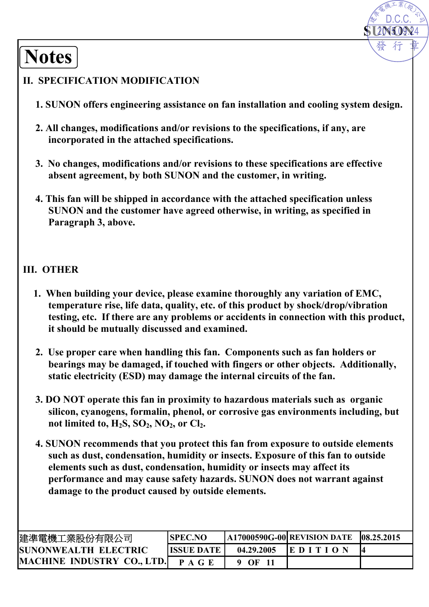**Notes**

#### **II. SPECIFICATION MODIFICATION**

**1. SUNON offers engineering assistance on fan installation and cooling system design.** 

**SUNION** 

2015.09.24 D.C.C.

- **2. All changes, modifications and/or revisions to the specifications, if any, are incorporated in the attached specifications.**
- **3. No changes, modifications and/or revisions to these specifications are effective absent agreement, by both SUNON and the customer, in writing.**
- **4. This fan will be shipped in accordance with the attached specification unless SUNON and the customer have agreed otherwise, in writing, as specified in Paragraph 3, above.**

#### **III. OTHER**

- **1. When building your device, please examine thoroughly any variation of EMC, temperature rise, life data, quality, etc. of this product by shock/drop/vibration testing, etc. If there are any problems or accidents in connection with this product, it should be mutually discussed and examined.**
- **2. Use proper care when handling this fan. Components such as fan holders or bearings may be damaged, if touched with fingers or other objects. Additionally, static electricity (ESD) may damage the internal circuits of the fan.**
- **3. DO NOT operate this fan in proximity to hazardous materials such as organic silicon, cyanogens, formalin, phenol, or corrosive gas environments including, but**  not limited to,  $H_2S$ ,  $SO_2$ ,  $NO_2$ , or  $Cl_2$ .
- **4. SUNON recommends that you protect this fan from exposure to outside elements such as dust, condensation, humidity or insects. Exposure of this fan to outside elements such as dust, condensation, humidity or insects may affect its performance and may cause safety hazards. SUNON does not warrant against damage to the product caused by outside elements.**

| 建準電機工業股份有限公司                      | <b>SPEC.NO</b>     |            | $[A17000590G-00]$ REVISION DATE | 108.25.2015 |
|-----------------------------------|--------------------|------------|---------------------------------|-------------|
| <b>SUNONWEALTH ELECTRIC</b>       | <b>IISSUE DATE</b> | 04.29.2005 | <b>IE DITION</b>                |             |
| <b>MACHINE INDUSTRY CO., LTD.</b> | <b>PAGE</b>        | - OF       |                                 |             |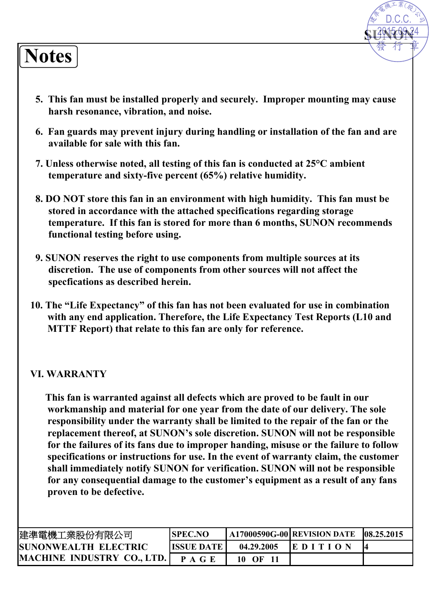# **Notes**

**5. This fan must be installed properly and securely. Improper mounting may cause harsh resonance, vibration, and noise.**

**SUNTER** 

2015.09.24 D.C.C.

- **6. Fan guards may prevent injury during handling or installation of the fan and are available for sale with this fan.**
- **7. Unless otherwise noted, all testing of this fan is conducted at 25°C ambient temperature and sixty-five percent (65%) relative humidity.**
- **8. DO NOT store this fan in an environment with high humidity. This fan must be stored in accordance with the attached specifications regarding storage temperature. If this fan is stored for more than 6 months, SUNON recommends functional testing before using.**
- **9. SUNON reserves the right to use components from multiple sources at its discretion. The use of components from other sources will not affect the specfications as described herein.**
- **10. The "Life Expectancy" of this fan has not been evaluated for use in combination with any end application. Therefore, the Life Expectancy Test Reports (L10 and MTTF Report) that relate to this fan are only for reference.**

#### **VI. WARRANTY**

**This fan is warranted against all defects which are proved to be fault in our workmanship and material for one year from the date of our delivery. The sole responsibility under the warranty shall be limited to the repair of the fan or the replacement thereof, at SUNON's sole discretion. SUNON will not be responsible for the failures of its fans due to improper handing, misuse or the failure to follow specifications or instructions for use. In the event of warranty claim, the customer shall immediately notify SUNON for verification. SUNON will not be responsible for any consequential damage to the customer's equipment as a result of any fans proven to be defective.** 

| 建準電機工業股份有限公司                 | <b>SPEC.NO</b>      |                | $A17000590G-00$ REVISION DATE | 08.25.2015 |
|------------------------------|---------------------|----------------|-------------------------------|------------|
| <b>ISUNONWEALTH ELECTRIC</b> | <b>ISSUE DATE I</b> | 04.29.2005     | <b>EDITION</b>                | K          |
| MACHINE INDUSTRY CO., LTD.   | <b>PAGE</b>         | 10<br>$\Omega$ |                               |            |